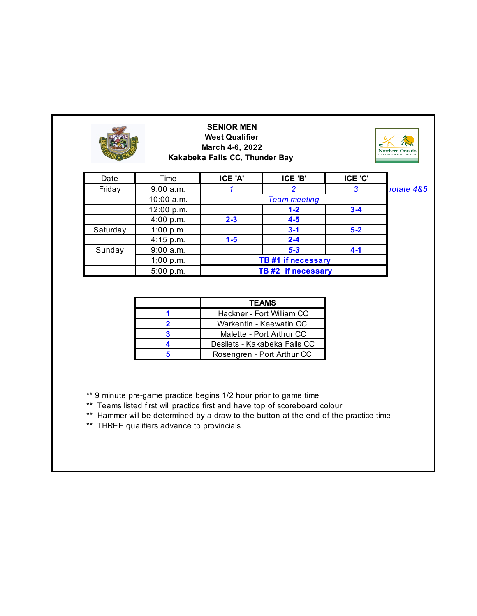|          |                        | <b>SENIOR MEN</b><br><b>West Qualifier</b><br>March 4-6, 2022<br>Kakabeka Falls CC, Thunder Bay |                     |         | Northern Ontario<br>CURLING ASSOCIATION |  |
|----------|------------------------|-------------------------------------------------------------------------------------------------|---------------------|---------|-----------------------------------------|--|
| Date     | Time                   | ICE 'A'                                                                                         | ICE 'B'             | ICE 'C' |                                         |  |
| Friday   | 9:00 a.m.              |                                                                                                 | 2                   | 3       | rotate 4&5                              |  |
|          | 10:00 a.m.             |                                                                                                 | <b>Team meeting</b> |         |                                         |  |
|          | 12:00 p.m.             |                                                                                                 | $1 - 2$             | $3-4$   |                                         |  |
|          | 4:00 p.m.              | $2 - 3$                                                                                         | $4-5$               |         |                                         |  |
| Saturday | 1:00 $p.m.$            |                                                                                                 | $3 - 1$             | $5-2$   |                                         |  |
|          | $4:15$ p.m.            | $1-5$                                                                                           | $2 - 4$             |         |                                         |  |
| Sunday   | $5 - 3$<br>$9:00$ a.m. | $4 - 1$                                                                                         |                     |         |                                         |  |
|          | 1;00 p.m.              | TB #1 if necessary                                                                              |                     |         |                                         |  |
|          | 5:00 p.m.              |                                                                                                 | TB #2 if necessary  |         |                                         |  |

| <b>TEAMS</b>                 |
|------------------------------|
| Hackner - Fort William CC    |
| Warkentin - Keewatin CC      |
| Malette - Port Arthur CC     |
| Desilets - Kakabeka Falls CC |
| Rosengren - Port Arthur CC   |

\*\* 9 minute pre-game practice begins 1/2 hour prior to game time

- \*\* Teams listed first will practice first and have top of scoreboard colour
- \*\* Hammer will be determined by a draw to the button at the end of the practice time
- \*\* THREE qualifiers advance to provincials